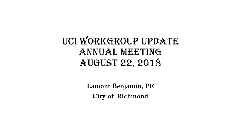UCI WORKGROUP UPDATE Annual Meeting August 22, 2018

> **Lamont Benjamin, PE City of Richmond**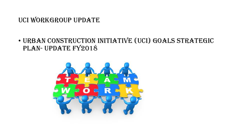# UCI WORKGROUP UPDATE

## • Urban Construction Initiative (UCI) Goals Strategic PLAN- UPDATE FY2018

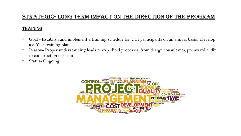### STRATEGIC- Long term impact on the direction of the program

#### Training

- Goal Establish and implement a training schedule for UCI participants on an annual basis. Develop a 3-Year training plan
- Reason- Proper understanding leads to expedited processes, from design consultants, pre award audit to construction closeout.
- Status- Ongoing

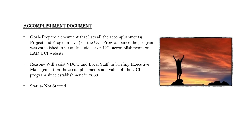### Accomplishment Document

- Goal- Prepare a document that lists all the accomplishments( Project and Program level) of the UCI Program since the program was established in 2003. Include list of UCI accomplishments on LAD UCI website
- Reason- Will assist VDOT and Local Staff in briefing Executive Management on the accomplishments and value of the UCI program since establishment in 2003
- 

• Status- Not Started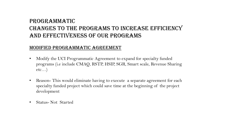## PROGRAMMATIC Changes to the programs to increase efficiency and effectiveness of our programs

### Modified Programmatic Agreement

- Modify the UCI Programmatic Agreement to expand for specialty funded programs (i.e include CMAQ, RSTP, HSIP, SGR, Smart scale, Revenue Sharing  $etc...$
- Reason- This would eliminate having to execute a separate agreement for each specialty funded project which could save time at the beginning of the project development
- Status- Not Started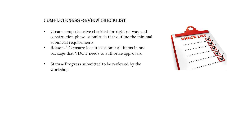### Completeness review checklist

- Create comprehensive checklist for right of way and construction phase submittals that outline the minimal submittal requirements
- Reason- To ensure localities submit all items in one package that VDOT needs to authorize approvals.
- Status- Progress submitted to be reviewed by the workshop